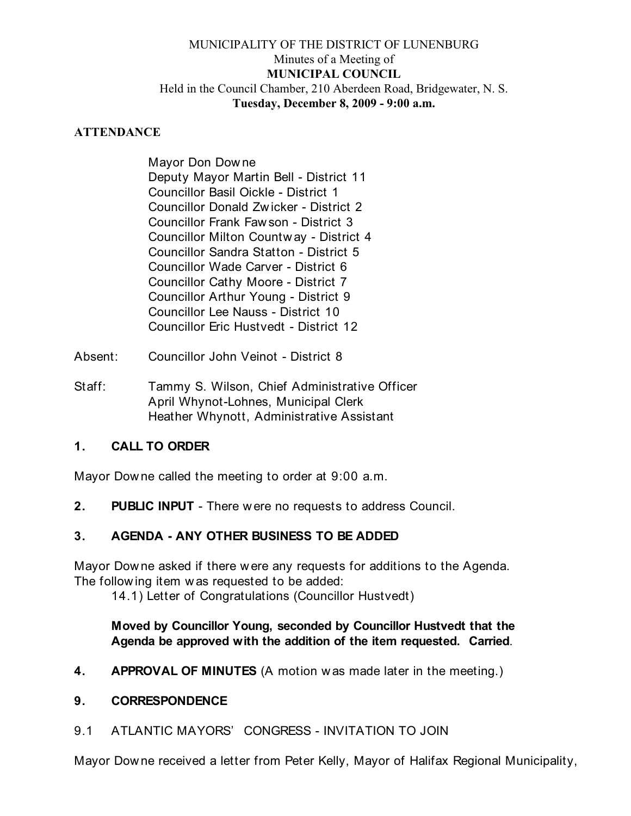### MUNICIPALITY OF THE DISTRICT OF LUNENBURG Minutes of a Meeting of **MUNICIPAL COUNCIL** Held in the Council Chamber, 210 Aberdeen Road, Bridgewater, N. S. **Tuesday, December 8, 2009 - 9:00 a.m.**

#### **ATTENDANCE**

Mayor Don Dow ne Deputy Mayor Martin Bell - District 11 Councillor Basil Oickle - District 1 Councillor Donald Zw icker - District 2 Councillor Frank Faw son - District 3 Councillor Milton Countw ay - District 4 Councillor Sandra Statton - District 5 Councillor Wade Carver - District 6 Councillor Cathy Moore - District 7 Councillor Arthur Young - District 9 Councillor Lee Nauss - District 10 Councillor Eric Hustvedt - District 12

- Absent: Councillor John Veinot District 8
- Staff: Tammy S. Wilson, Chief Administrative Officer April Whynot-Lohnes, Municipal Clerk Heather Whynott, Administrative Assistant

### **1. CALL TO ORDER**

Mayor Dow ne called the meeting to order at 9:00 a.m.

**2. PUBLIC INPUT** - There w ere no requests to address Council.

# **3. AGENDA - ANY OTHER BUSINESS TO BE ADDED**

Mayor Dow ne asked if there were any requests for additions to the Agenda. The follow ing item w as requested to be added:

14.1) Letter of Congratulations (Councillor Hustvedt)

**Moved by Councillor Young, seconded by Councillor Hustvedt that the Agenda be approved with the addition of the item requested. Carried**.

**4. APPROVAL OF MINUTES** (A motion w as made later in the meeting.)

#### **9. CORRESPONDENCE**

9.1 ATLANTIC MAYORS' CONGRESS - INVITATION TO JOIN

Mayor Dow ne received a letter from Peter Kelly, Mayor of Halifax Regional Municipality,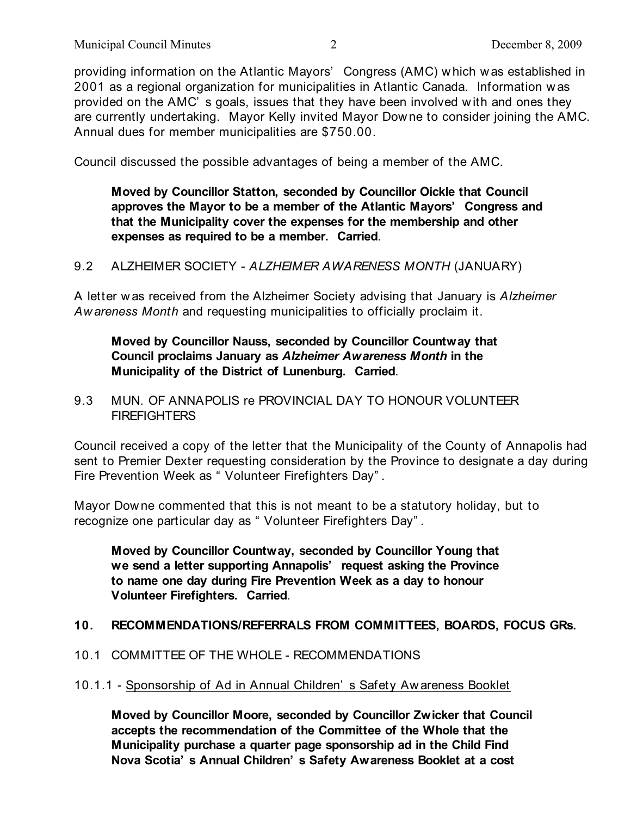providing information on the Atlantic Mayors' Congress (AMC) w hich was established in 2001 as a regional organization for municipalities in Atlantic Canada. Information w as provided on the AMC' s goals, issues that they have been involved w ith and ones they are currently undertaking. Mayor Kelly invited Mayor Dow ne to consider joining the AMC. Annual dues for member municipalities are \$750.00.

Council discussed the possible advantages of being a member of the AMC.

**Moved by Councillor Statton, seconded by Councillor Oickle that Council approves the Mayor to be a member of the Atlantic Mayors' Congress and that the Municipality cover the expenses for the membership and other expenses as required to be a member. Carried**.

9.2 ALZHEIMER SOCIETY - *ALZHEIMER AWARENESS MONTH* (JANUARY)

A letter w as received from the Alzheimer Society advising that January is *Alzheimer Aw areness Month* and requesting municipalities to officially proclaim it.

# **Moved by Councillor Nauss, seconded by Councillor Countway that Council proclaims January as** *Alzheimer Awareness Month* **in the Municipality of the District of Lunenburg. Carried**.

### 9.3 MUN. OF ANNAPOLIS re PROVINCIAL DAY TO HONOUR VOLUNTEER **FIREFIGHTERS**

Council received a copy of the letter that the Municipality of the County of Annapolis had sent to Premier Dexter requesting consideration by the Province to designate a day during Fire Prevention Week as " Volunteer Firefighters Day" .

Mayor Dow ne commented that this is not meant to be a statutory holiday, but to recognize one particular day as " Volunteer Firefighters Day" .

**Moved by Councillor Countway, seconded by Councillor Young that we send a letter supporting Annapolis' request asking the Province to name one day during Fire Prevention Week as a day to honour Volunteer Firefighters. Carried**.

# **10. RECOMMENDATIONS/REFERRALS FROM COMMITTEES, BOARDS, FOCUS GRs.**

10.1 COMMITTEE OF THE WHOLE - RECOMMENDATIONS

#### 10.1.1 - Sponsorship of Ad in Annual Children' s Safety Aw areness Booklet

**Moved by Councillor Moore, seconded by Councillor Zwicker that Council accepts the recommendation of the Committee of the Whole that the Municipality purchase a quarter page sponsorship ad in the Child Find Nova Scotia' s Annual Children' s Safety Awareness Booklet at a cost**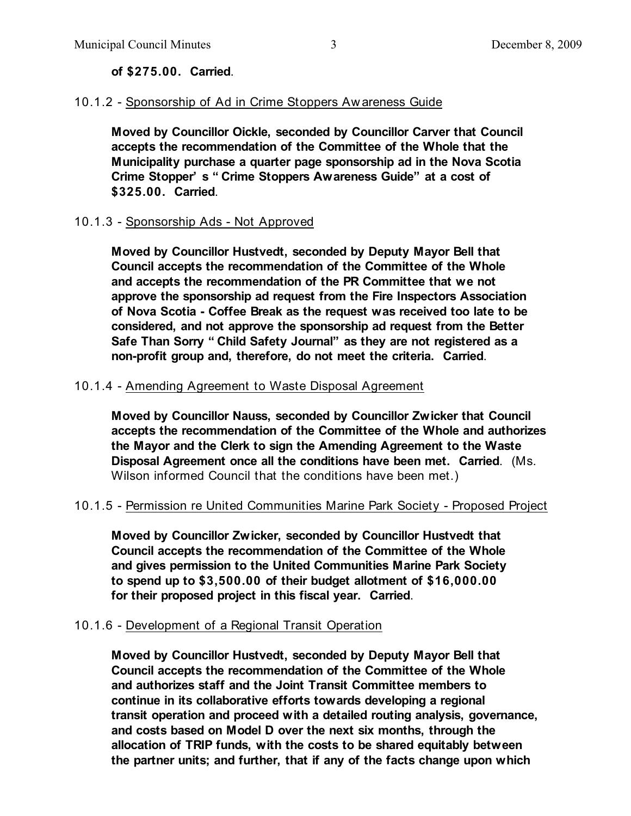#### **of \$275.00. Carried**.

### 10.1.2 - Sponsorship of Ad in Crime Stoppers Aw areness Guide

**Moved by Councillor Oickle, seconded by Councillor Carver that Council accepts the recommendation of the Committee of the Whole that the Municipality purchase a quarter page sponsorship ad in the Nova Scotia Crime Stopper' s " Crime Stoppers Awareness Guide" at a cost of \$325.00. Carried**.

#### 10.1.3 - Sponsorship Ads - Not Approved

**Moved by Councillor Hustvedt, seconded by Deputy Mayor Bell that Council accepts the recommendation of the Committee of the Whole and accepts the recommendation of the PR Committee that we not approve the sponsorship ad request from the Fire Inspectors Association of Nova Scotia - Coffee Break as the request was received too late to be considered, and not approve the sponsorship ad request from the Better Safe Than Sorry " Child Safety Journal" as they are not registered as a non-profit group and, therefore, do not meet the criteria. Carried**.

#### 10.1.4 - Amending Agreement to Waste Disposal Agreement

**Moved by Councillor Nauss, seconded by Councillor Zwicker that Council accepts the recommendation of the Committee of the Whole and authorizes the Mayor and the Clerk to sign the Amending Agreement to the Waste Disposal Agreement once all the conditions have been met. Carried**. (Ms. Wilson informed Council that the conditions have been met.)

#### 10.1.5 - Permission re United Communities Marine Park Society - Proposed Project

**Moved by Councillor Zwicker, seconded by Councillor Hustvedt that Council accepts the recommendation of the Committee of the Whole and gives permission to the United Communities Marine Park Society to spend up to \$3,500.00 of their budget allotment of \$16,000.00 for their proposed project in this fiscal year. Carried**.

#### 10.1.6 - Development of a Regional Transit Operation

**Moved by Councillor Hustvedt, seconded by Deputy Mayor Bell that Council accepts the recommendation of the Committee of the Whole and authorizes staff and the Joint Transit Committee members to continue in its collaborative efforts towards developing a regional transit operation and proceed with a detailed routing analysis, governance, and costs based on Model D over the next six months, through the allocation of TRIP funds, with the costs to be shared equitably between the partner units; and further, that if any of the facts change upon which**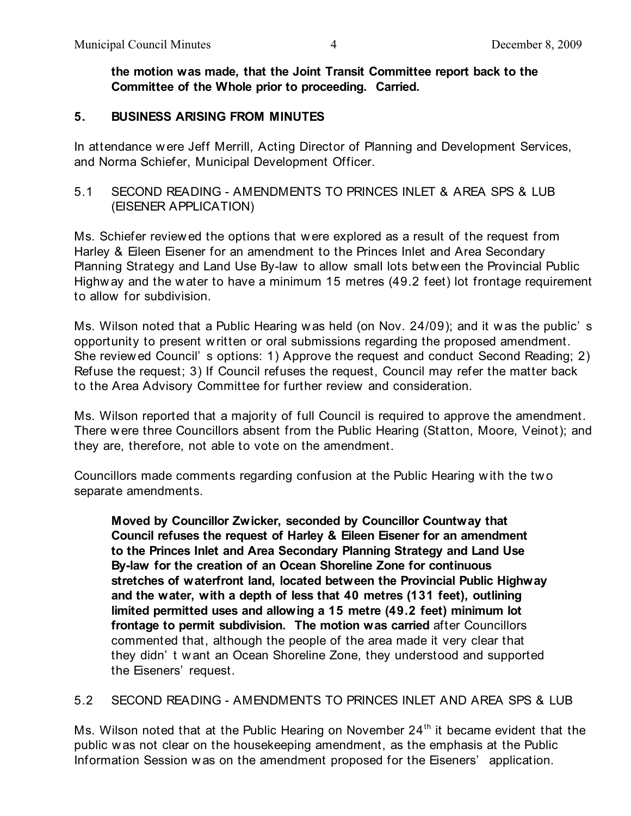**the motion was made, that the Joint Transit Committee report back to the Committee of the Whole prior to proceeding. Carried.**

### **5. BUSINESS ARISING FROM MINUTES**

In attendance w ere Jeff Merrill, Acting Director of Planning and Development Services, and Norma Schiefer, Municipal Development Officer.

# 5.1 SECOND READING - AMENDMENTS TO PRINCES INLET & AREA SPS & LUB (EISENER APPLICATION)

Ms. Schiefer review ed the options that w ere explored as a result of the request from Harley & Eileen Eisener for an amendment to the Princes Inlet and Area Secondary Planning Strategy and Land Use By-law to allow small lots betw een the Provincial Public Highw ay and the w ater to have a minimum 15 metres (49.2 feet) lot frontage requirement to allow for subdivision.

Ms. Wilson noted that a Public Hearing w as held (on Nov. 24/09); and it w as the public' s opportunity to present w ritten or oral submissions regarding the proposed amendment. She review ed Council' s options: 1) Approve the request and conduct Second Reading; 2) Refuse the request; 3) If Council refuses the request, Council may refer the matter back to the Area Advisory Committee for further review and consideration.

Ms. Wilson reported that a majority of full Council is required to approve the amendment. There w ere three Councillors absent from the Public Hearing (Statton, Moore, Veinot); and they are, therefore, not able to vote on the amendment.

Councillors made comments regarding confusion at the Public Hearing w ith the tw o separate amendments.

**Moved by Councillor Zwicker, seconded by Councillor Countway that Council refuses the request of Harley & Eileen Eisener for an amendment to the Princes Inlet and Area Secondary Planning Strategy and Land Use By-law for the creation of an Ocean Shoreline Zone for continuous stretches of waterfront land, located between the Provincial Public Highway and the water, with a depth of less that 40 metres (131 feet), outlining limited permitted uses and allowing a 15 metre (49.2 feet) minimum lot frontage to permit subdivision. The motion was carried** after Councillors commented that, although the people of the area made it very clear that they didn' t w ant an Ocean Shoreline Zone, they understood and supported the Eiseners' request.

5.2 SECOND READING - AMENDMENTS TO PRINCES INLET AND AREA SPS & LUB

Ms. Wilson noted that at the Public Hearing on November  $24<sup>th</sup>$  it became evident that the public w as not clear on the housekeeping amendment, as the emphasis at the Public Information Session w as on the amendment proposed for the Eiseners' application.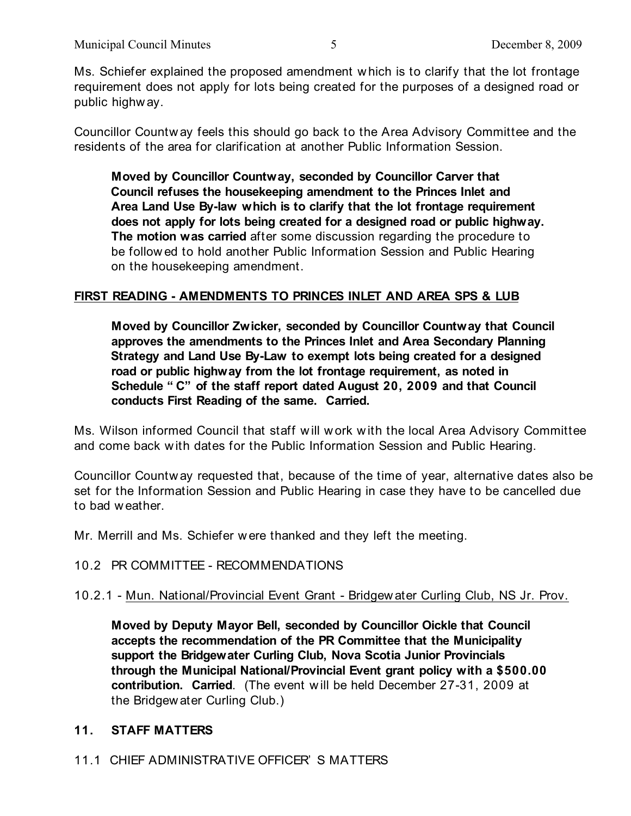Ms. Schiefer explained the proposed amendment w hich is to clarify that the lot frontage requirement does not apply for lots being created for the purposes of a designed road or public highw ay.

Councillor Countw ay feels this should go back to the Area Advisory Committee and the residents of the area for clarification at another Public Information Session.

**Moved by Councillor Countway, seconded by Councillor Carver that Council refuses the housekeeping amendment to the Princes Inlet and Area Land Use By-law which is to clarify that the lot frontage requirement does not apply for lots being created for a designed road or public highway. The motion was carried** after some discussion regarding the procedure to be follow ed to hold another Public Information Session and Public Hearing on the housekeeping amendment.

# **FIRST READING - AMENDMENTS TO PRINCES INLET AND AREA SPS & LUB**

**Moved by Councillor Zwicker, seconded by Councillor Countway that Council approves the amendments to the Princes Inlet and Area Secondary Planning Strategy and Land Use By-Law to exempt lots being created for a designed road or public highway from the lot frontage requirement, as noted in Schedule " C" of the staff report dated August 20, 2009 and that Council conducts First Reading of the same. Carried.**

Ms. Wilson informed Council that staff w ill w ork w ith the local Area Advisory Committee and come back w ith dates for the Public Information Session and Public Hearing.

Councillor Countw ay requested that, because of the time of year, alternative dates also be set for the Information Session and Public Hearing in case they have to be cancelled due to bad w eather.

Mr. Merrill and Ms. Schiefer w ere thanked and they left the meeting.

#### 10.2 PR COMMITTEE - RECOMMENDATIONS

10.2.1 - Mun. National/Provincial Event Grant - Bridgew ater Curling Club, NS Jr. Prov.

**Moved by Deputy Mayor Bell, seconded by Councillor Oickle that Council accepts the recommendation of the PR Committee that the Municipality support the Bridgewater Curling Club, Nova Scotia Junior Provincials through the Municipal National/Provincial Event grant policy with a \$500.00 contribution. Carried**. (The event w ill be held December 27-31, 2009 at the Bridgew ater Curling Club.)

#### **11. STAFF MATTERS**

11.1 CHIEF ADMINISTRATIVE OFFICER' S MATTERS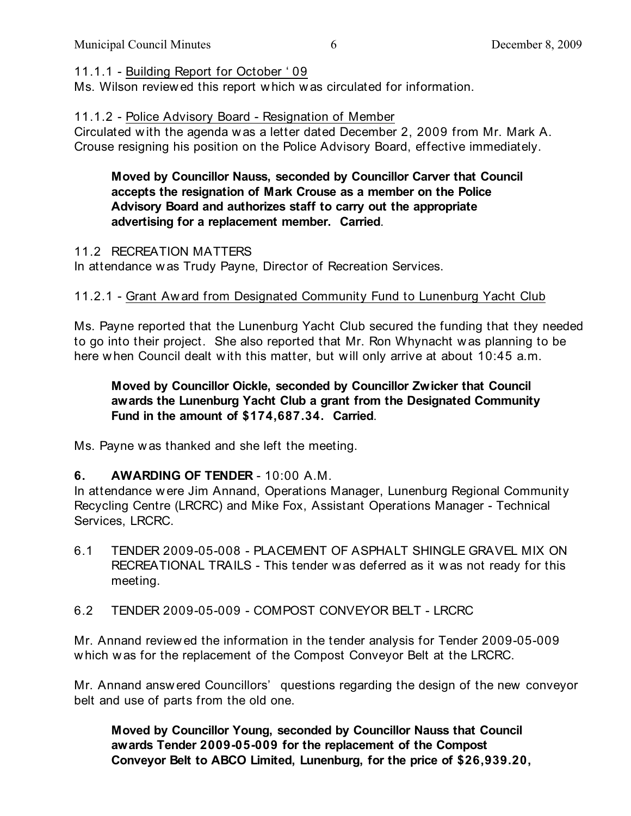11.1.1 - Building Report for October ' 09

Ms. Wilson review ed this report w hich was circulated for information.

11.1.2 - Police Advisory Board - Resignation of Member

Circulated w ith the agenda w as a letter dated December 2, 2009 from Mr. Mark A. Crouse resigning his position on the Police Advisory Board, effective immediately.

## **Moved by Councillor Nauss, seconded by Councillor Carver that Council accepts the resignation of Mark Crouse as a member on the Police Advisory Board and authorizes staff to carry out the appropriate advertising for a replacement member. Carried**.

#### 11.2 RECREATION MATTERS

In attendance w as Trudy Payne, Director of Recreation Services.

# 11.2.1 - Grant Aw ard from Designated Community Fund to Lunenburg Yacht Club

Ms. Payne reported that the Lunenburg Yacht Club secured the funding that they needed to go into their project. She also reported that Mr. Ron Whynacht w as planning to be here w hen Council dealt w ith this matter, but w ill only arrive at about 10:45 a.m.

# **Moved by Councillor Oickle, seconded by Councillor Zwicker that Council awards the Lunenburg Yacht Club a grant from the Designated Community Fund in the amount of \$174,687.34. Carried**.

Ms. Payne w as thanked and she left the meeting.

# **6. AWARDING OF TENDER** - 10:00 A.M.

In attendance w ere Jim Annand, Operations Manager, Lunenburg Regional Community Recycling Centre (LRCRC) and Mike Fox, Assistant Operations Manager - Technical Services, LRCRC.

- 6.1 TENDER 2009-05-008 PLACEMENT OF ASPHALT SHINGLE GRAVEL MIX ON RECREATIONAL TRAILS - This tender was deferred as it w as not ready for this meeting.
- 6.2 TENDER 2009-05-009 COMPOST CONVEYOR BELT LRCRC

Mr. Annand review ed the information in the tender analysis for Tender 2009-05-009 w hich w as for the replacement of the Compost Conveyor Belt at the LRCRC.

Mr. Annand answ ered Councillors' questions regarding the design of the new conveyor belt and use of parts from the old one.

**Moved by Councillor Young, seconded by Councillor Nauss that Council awards Tender 2009-05-009 for the replacement of the Compost Conveyor Belt to ABCO Limited, Lunenburg, for the price of \$26,939.20,**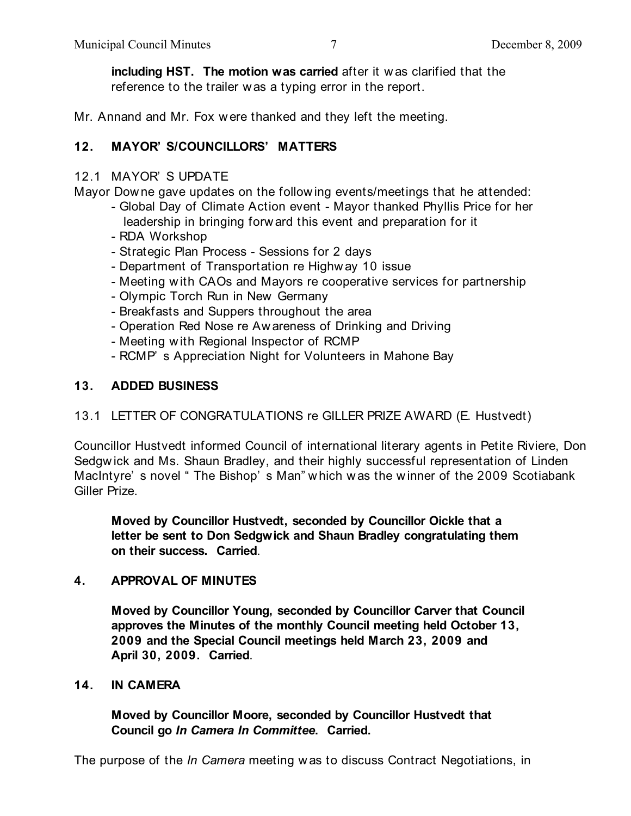**including HST. The motion was carried** after it w as clarified that the reference to the trailer was a typing error in the report.

Mr. Annand and Mr. Fox w ere thanked and they left the meeting.

# **12. MAYOR' S/COUNCILLORS' MATTERS**

### 12.1 MAYOR' S UPDATE

Mayor Dow ne gave updates on the follow ing events/meetings that he attended:

- Global Day of Climate Action event Mayor thanked Phyllis Price for her leadership in bringing forw ard this event and preparation for it
- RDA Workshop
- Strategic Plan Process Sessions for 2 days
- Department of Transportation re Highw ay 10 issue
- Meeting w ith CAOs and Mayors re cooperative services for partnership
- Olympic Torch Run in New Germany
- Breakfasts and Suppers throughout the area
- Operation Red Nose re Aw areness of Drinking and Driving
- Meeting w ith Regional Inspector of RCMP
- RCMP' s Appreciation Night for Volunteers in Mahone Bay

### **13. ADDED BUSINESS**

# 13.1 LETTER OF CONGRATULATIONS re GILLER PRIZE AWARD (E. Hustvedt)

Councillor Hustvedt informed Council of international literary agents in Petite Riviere, Don Sedgw ick and Ms. Shaun Bradley, and their highly successful representation of Linden MacIntyre' s novel " The Bishop' s Man" w hich was the w inner of the 2009 Scotiabank Giller Prize.

**Moved by Councillor Hustvedt, seconded by Councillor Oickle that a letter be sent to Don Sedgwick and Shaun Bradley congratulating them on their success. Carried**.

#### **4. APPROVAL OF MINUTES**

**Moved by Councillor Young, seconded by Councillor Carver that Council approves the Minutes of the monthly Council meeting held October 13, 2009 and the Special Council meetings held March 23, 2009 and April 30, 2009. Carried**.

#### **14. IN CAMERA**

**Moved by Councillor Moore, seconded by Councillor Hustvedt that Council go** *In Camera In Committee***. Carried.**

The purpose of the *In Camera* meeting w as to discuss Contract Negotiations, in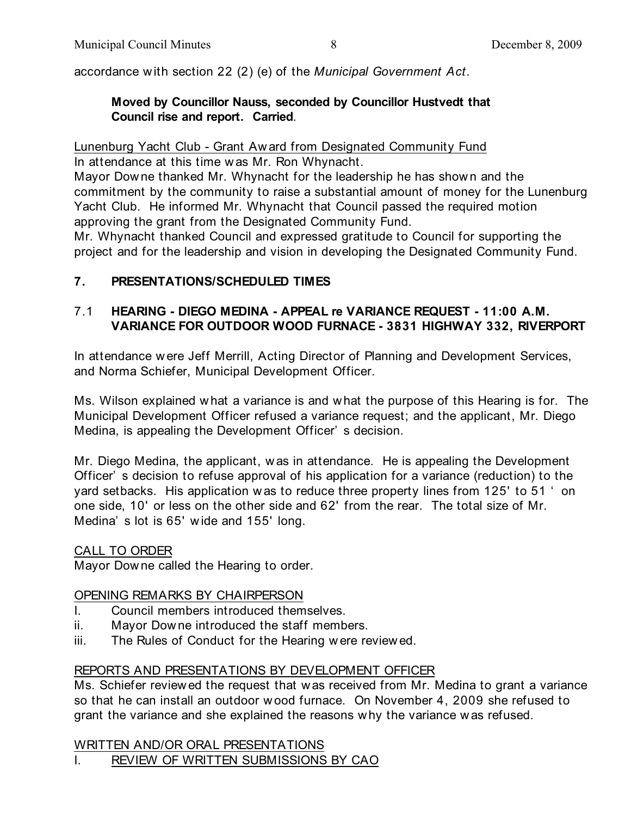accordance with section 22 (2) (e) of the *Municipal Government Act*.

### **Moved by Councillor Nauss, seconded by Councillor Hustvedt that Council rise and report. Carried**.

Lunenburg Yacht Club - Grant Aw ard from Designated Community Fund

In attendance at this time w as Mr. Ron Whynacht.

Mayor Dow ne thanked Mr. Whynacht for the leadership he has show n and the commitment by the community to raise a substantial amount of money for the Lunenburg Yacht Club. He informed Mr. Whynacht that Council passed the required motion approving the grant from the Designated Community Fund.

Mr. Whynacht thanked Council and expressed gratitude to Council for supporting the project and for the leadership and vision in developing the Designated Community Fund.

# **7. PRESENTATIONS/SCHEDULED TIMES**

# 7.1 **HEARING - DIEGO MEDINA - APPEAL re VARIANCE REQUEST - 11:00 A.M. VARIANCE FOR OUTDOOR WOOD FURNACE - 3831 HIGHWAY 332, RIVERPORT**

In attendance w ere Jeff Merrill, Acting Director of Planning and Development Services, and Norma Schiefer, Municipal Development Officer.

Ms. Wilson explained what a variance is and what the purpose of this Hearing is for. The Municipal Development Officer refused a variance request; and the applicant, Mr. Diego Medina, is appealing the Development Officer' s decision.

Mr. Diego Medina, the applicant, w as in attendance. He is appealing the Development Officer' s decision to refuse approval of his application for a variance (reduction) to the yard setbacks. His application w as to reduce three property lines from 125' to 51 ' on one side, 10' or less on the other side and 62' from the rear. The total size of Mr. Medina' s lot is 65' w ide and 155' long.

# CALL TO ORDER

Mayor Downe called the Hearing to order.

# OPENING REMARKS BY CHAIRPERSON

- I. Council members introduced themselves.
- ii. Mayor Dow ne introduced the staff members.
- iii. The Rules of Conduct for the Hearing w ere review ed.

# REPORTS AND PRESENTATIONS BY DEVELOPMENT OFFICER

Ms. Schiefer review ed the request that was received from Mr. Medina to grant a variance so that he can install an outdoor wood furnace. On November 4, 2009 she refused to grant the variance and she explained the reasons w hy the variance w as refused.

#### WRITTEN AND/OR ORAL PRESENTATIONS

I. REVIEW OF WRITTEN SUBMISSIONS BY CAO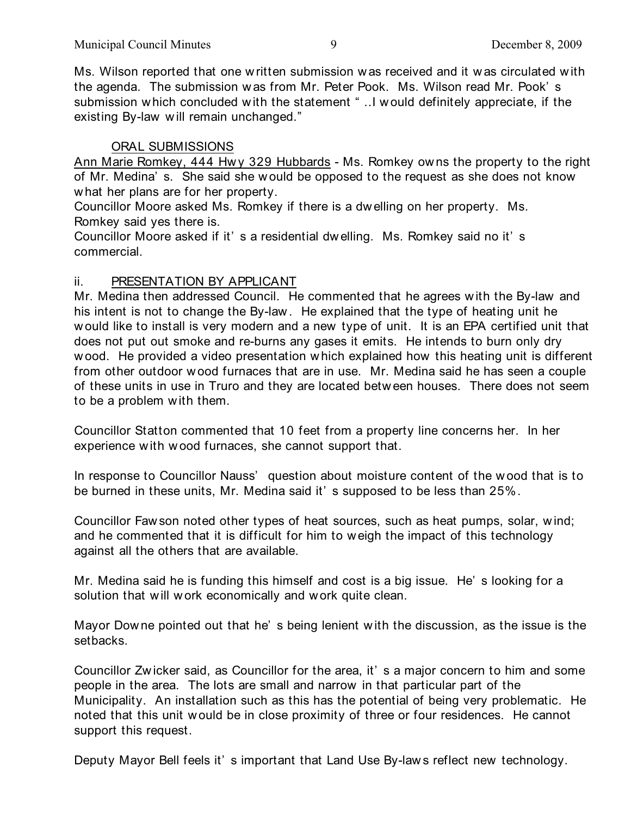Ms. Wilson reported that one w ritten submission w as received and it w as circulated w ith the agenda. The submission w as from Mr. Peter Pook. Ms. Wilson read Mr. Pook' s submission which concluded with the statement " ..I would definitely appreciate, if the existing By-law w ill remain unchanged."

# ORAL SUBMISSIONS

Ann Marie Romkey, 444 Hwy 329 Hubbards - Ms. Romkey owns the property to the right of Mr. Medina' s. She said she w ould be opposed to the request as she does not know w hat her plans are for her property.

Councillor Moore asked Ms. Romkey if there is a dw elling on her property. Ms. Romkey said yes there is.

Councillor Moore asked if it' s a residential dw elling. Ms. Romkey said no it' s commercial.

### ii. PRESENTATION BY APPLICANT

Mr. Medina then addressed Council. He commented that he agrees w ith the By-law and his intent is not to change the By-law . He explained that the type of heating unit he w ould like to install is very modern and a new type of unit. It is an EPA certified unit that does not put out smoke and re-burns any gases it emits. He intends to burn only dry w ood. He provided a video presentation w hich explained how this heating unit is different from other outdoor w ood furnaces that are in use. Mr. Medina said he has seen a couple of these units in use in Truro and they are located betw een houses. There does not seem to be a problem with them.

Councillor Statton commented that 10 feet from a property line concerns her. In her experience with w ood furnaces, she cannot support that.

In response to Councillor Nauss' question about moisture content of the w ood that is to be burned in these units, Mr. Medina said it' s supposed to be less than 25%.

Councillor Faw son noted other types of heat sources, such as heat pumps, solar, w ind; and he commented that it is difficult for him to weigh the impact of this technology against all the others that are available.

Mr. Medina said he is funding this himself and cost is a big issue. He' s looking for a solution that will work economically and work quite clean.

Mayor Dow ne pointed out that he' s being lenient w ith the discussion, as the issue is the setbacks.

Councillor Zw icker said, as Councillor for the area, it' s a major concern to him and some people in the area. The lots are small and narrow in that particular part of the Municipality. An installation such as this has the potential of being very problematic. He noted that this unit w ould be in close proximity of three or four residences. He cannot support this request.

Deputy Mayor Bell feels it' s important that Land Use By-law s reflect new technology.